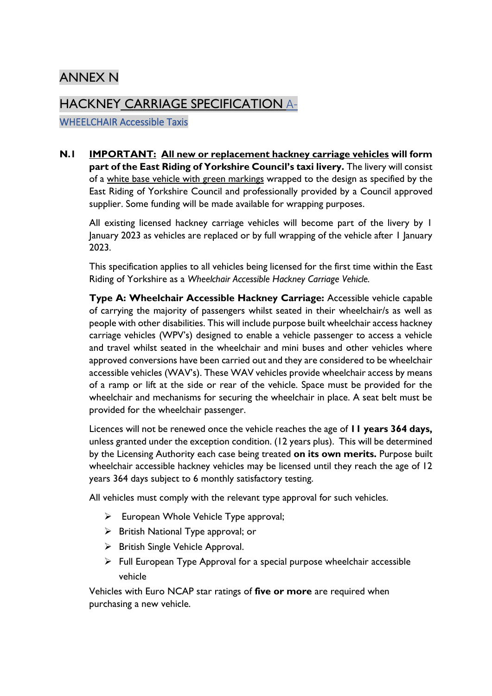# ANNEX N

# HACKNEY CARRIAGE SPECIFICATION A-

WHEELCHAIR Accessible Taxis

**N.1 IMPORTANT: All new or replacement hackney carriage vehicles will form part of the East Riding of Yorkshire Council's taxi livery.** The livery will consist of a white base vehicle with green markings wrapped to the design as specified by the East Riding of Yorkshire Council and professionally provided by a Council approved supplier. Some funding will be made available for wrapping purposes.

All existing licensed hackney carriage vehicles will become part of the livery by 1 January 2023 as vehicles are replaced or by full wrapping of the vehicle after 1 January 2023.

This specification applies to all vehicles being licensed for the first time within the East Riding of Yorkshire as a *Wheelchair Accessible Hackney Carriage Vehicle.*

**Type A: Wheelchair Accessible Hackney Carriage:** Accessible vehicle capable of carrying the majority of passengers whilst seated in their wheelchair/s as well as people with other disabilities. This will include purpose built wheelchair access hackney carriage vehicles (WPV's) designed to enable a vehicle passenger to access a vehicle and travel whilst seated in the wheelchair and mini buses and other vehicles where approved conversions have been carried out and they are considered to be wheelchair accessible vehicles (WAV's). These WAV vehicles provide wheelchair access by means of a ramp or lift at the side or rear of the vehicle. Space must be provided for the wheelchair and mechanisms for securing the wheelchair in place. A seat belt must be provided for the wheelchair passenger.

Licences will not be renewed once the vehicle reaches the age of **11 years 364 days,** unless granted under the exception condition. (12 years plus). This will be determined by the Licensing Authority each case being treated **on its own merits.** Purpose built wheelchair accessible hackney vehicles may be licensed until they reach the age of 12 years 364 days subject to 6 monthly satisfactory testing.

All vehicles must comply with the relevant type approval for such vehicles.

- ➢ European Whole Vehicle Type approval;
- ➢ British National Type approval; or
- ➢ British Single Vehicle Approval.
- ➢ Full European Type Approval for a special purpose wheelchair accessible vehicle

Vehicles with Euro NCAP star ratings of **five or more** are required when purchasing a new vehicle.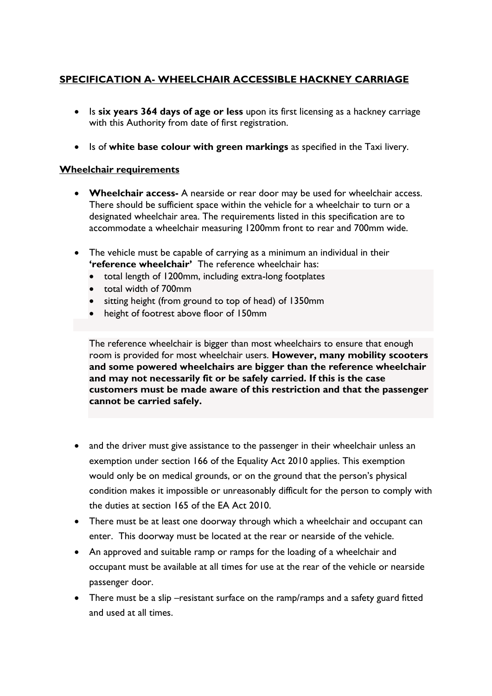# **SPECIFICATION A- WHEELCHAIR ACCESSIBLE HACKNEY CARRIAGE**

- Is **six years 364 days of age or less** upon its first licensing as a hackney carriage with this Authority from date of first registration.
- Is of **white base colour with green markings** as specified in the Taxi livery.

#### **Wheelchair requirements**

- **Wheelchair access-** A nearside or rear door may be used for wheelchair access. There should be sufficient space within the vehicle for a wheelchair to turn or a designated wheelchair area. The requirements listed in this specification are to accommodate a wheelchair measuring 1200mm front to rear and 700mm wide.
- The vehicle must be capable of carrying as a minimum an individual in their **'reference wheelchair'** The reference wheelchair has:
	- total length of 1200mm, including extra-long footplates
	- total width of 700mm
	- sitting height (from ground to top of head) of 1350mm
	- height of footrest above floor of 150mm

The reference wheelchair is bigger than most wheelchairs to ensure that enough room is provided for most wheelchair users. **However, many mobility scooters and some powered wheelchairs are bigger than the reference wheelchair and may not necessarily fit or be safely carried. If this is the case customers must be made aware of this restriction and that the passenger cannot be carried safely.** 

- and the driver must give assistance to the passenger in their wheelchair unless an exemption under section 166 of the Equality Act 2010 applies. This exemption would only be on medical grounds, or on the ground that the person's physical condition makes it impossible or unreasonably difficult for the person to comply with the duties at section 165 of the EA Act 2010.
- There must be at least one doorway through which a wheelchair and occupant can enter. This doorway must be located at the rear or nearside of the vehicle.
- An approved and suitable ramp or ramps for the loading of a wheelchair and occupant must be available at all times for use at the rear of the vehicle or nearside passenger door.
- There must be a slip –resistant surface on the ramp/ramps and a safety guard fitted and used at all times.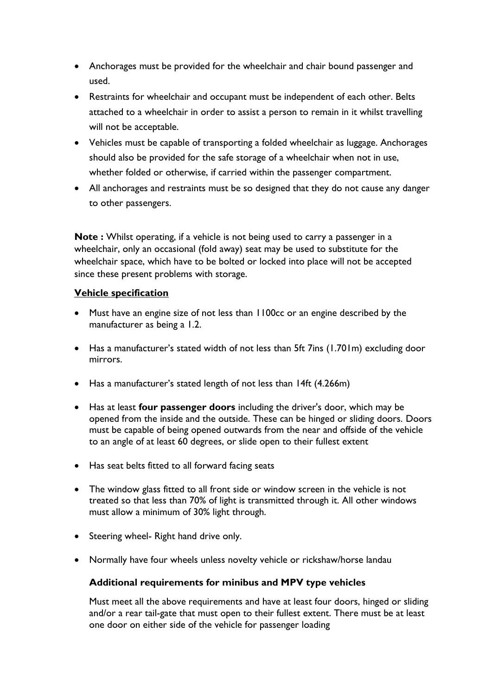- Anchorages must be provided for the wheelchair and chair bound passenger and used.
- Restraints for wheelchair and occupant must be independent of each other. Belts attached to a wheelchair in order to assist a person to remain in it whilst travelling will not be acceptable.
- Vehicles must be capable of transporting a folded wheelchair as luggage. Anchorages should also be provided for the safe storage of a wheelchair when not in use, whether folded or otherwise, if carried within the passenger compartment.
- All anchorages and restraints must be so designed that they do not cause any danger to other passengers.

**Note :** Whilst operating, if a vehicle is not being used to carry a passenger in a wheelchair, only an occasional (fold away) seat may be used to substitute for the wheelchair space, which have to be bolted or locked into place will not be accepted since these present problems with storage.

# **Vehicle specification**

- Must have an engine size of not less than 1100cc or an engine described by the manufacturer as being a 1.2.
- Has a manufacturer's stated width of not less than 5ft 7ins (1.701m) excluding door mirrors.
- Has a manufacturer's stated length of not less than 14ft (4.266m)
- Has at least **four passenger doors** including the driver's door, which may be opened from the inside and the outside. These can be hinged or sliding doors. Doors must be capable of being opened outwards from the near and offside of the vehicle to an angle of at least 60 degrees, or slide open to their fullest extent
- Has seat belts fitted to all forward facing seats
- The window glass fitted to all front side or window screen in the vehicle is not treated so that less than 70% of light is transmitted through it. All other windows must allow a minimum of 30% light through.
- Steering wheel- Right hand drive only.
- Normally have four wheels unless novelty vehicle or rickshaw/horse landau

## **Additional requirements for minibus and MPV type vehicles**

Must meet all the above requirements and have at least four doors, hinged or sliding and/or a rear tail-gate that must open to their fullest extent. There must be at least one door on either side of the vehicle for passenger loading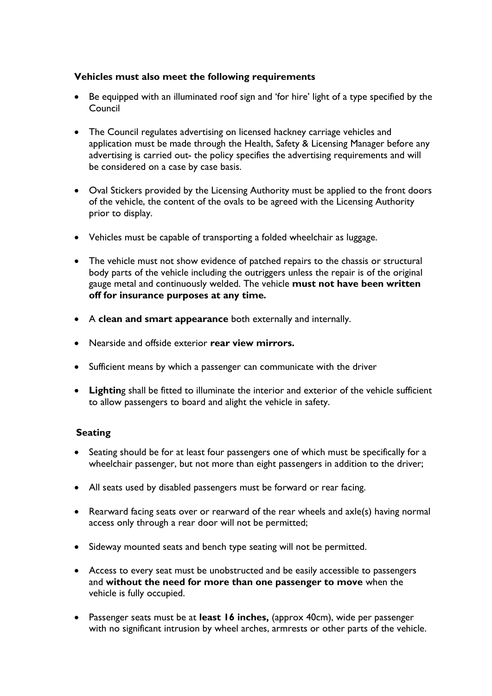# **Vehicles must also meet the following requirements**

- Be equipped with an illuminated roof sign and 'for hire' light of a type specified by the Council
- The Council regulates advertising on licensed hackney carriage vehicles and application must be made through the Health, Safety & Licensing Manager before any advertising is carried out- the policy specifies the advertising requirements and will be considered on a case by case basis.
- Oval Stickers provided by the Licensing Authority must be applied to the front doors of the vehicle, the content of the ovals to be agreed with the Licensing Authority prior to display.
- Vehicles must be capable of transporting a folded wheelchair as luggage.
- The vehicle must not show evidence of patched repairs to the chassis or structural body parts of the vehicle including the outriggers unless the repair is of the original gauge metal and continuously welded. The vehicle **must not have been written off for insurance purposes at any time***.*
- A **clean and smart appearance** both externally and internally.
- Nearside and offside exterior **rear view mirrors.**
- Sufficient means by which a passenger can communicate with the driver
- **Lightin**g shall be fitted to illuminate the interior and exterior of the vehicle sufficient to allow passengers to board and alight the vehicle in safety.

# **Seating**

- Seating should be for at least four passengers one of which must be specifically for a wheelchair passenger, but not more than eight passengers in addition to the driver;
- All seats used by disabled passengers must be forward or rear facing.
- Rearward facing seats over or rearward of the rear wheels and axle(s) having normal access only through a rear door will not be permitted;
- Sideway mounted seats and bench type seating will not be permitted.
- Access to every seat must be unobstructed and be easily accessible to passengers and **without the need for more than one passenger to move** when the vehicle is fully occupied.
- Passenger seats must be at **least 16 inches,** (approx 40cm), wide per passenger with no significant intrusion by wheel arches, armrests or other parts of the vehicle.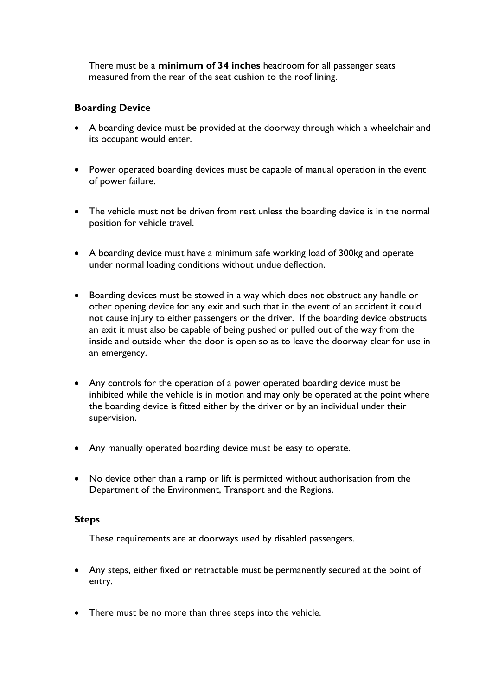There must be a **minimum of 34 inches** headroom for all passenger seats measured from the rear of the seat cushion to the roof lining.

# **Boarding Device**

- A boarding device must be provided at the doorway through which a wheelchair and its occupant would enter.
- Power operated boarding devices must be capable of manual operation in the event of power failure.
- The vehicle must not be driven from rest unless the boarding device is in the normal position for vehicle travel.
- A boarding device must have a minimum safe working load of 300kg and operate under normal loading conditions without undue deflection.
- Boarding devices must be stowed in a way which does not obstruct any handle or other opening device for any exit and such that in the event of an accident it could not cause injury to either passengers or the driver. If the boarding device obstructs an exit it must also be capable of being pushed or pulled out of the way from the inside and outside when the door is open so as to leave the doorway clear for use in an emergency.
- Any controls for the operation of a power operated boarding device must be inhibited while the vehicle is in motion and may only be operated at the point where the boarding device is fitted either by the driver or by an individual under their supervision.
- Any manually operated boarding device must be easy to operate.
- No device other than a ramp or lift is permitted without authorisation from the Department of the Environment, Transport and the Regions.

#### **Steps**

These requirements are at doorways used by disabled passengers.

- Any steps, either fixed or retractable must be permanently secured at the point of entry.
- There must be no more than three steps into the vehicle.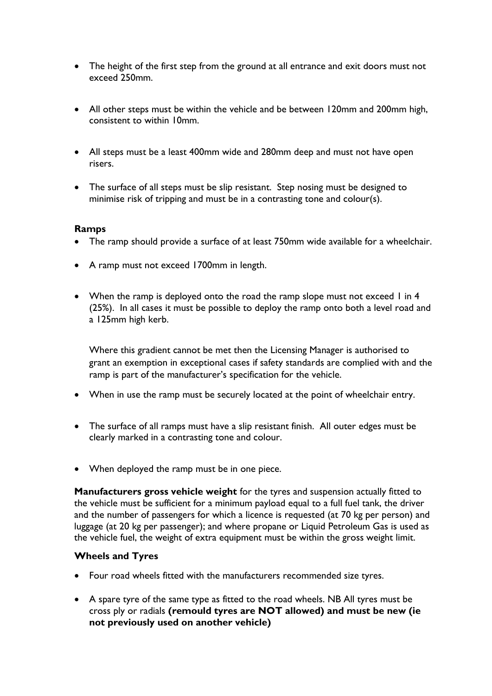- The height of the first step from the ground at all entrance and exit doors must not exceed 250mm.
- All other steps must be within the vehicle and be between 120mm and 200mm high, consistent to within 10mm.
- All steps must be a least 400mm wide and 280mm deep and must not have open risers.
- The surface of all steps must be slip resistant. Step nosing must be designed to minimise risk of tripping and must be in a contrasting tone and colour(s).

#### **Ramps**

- The ramp should provide a surface of at least 750mm wide available for a wheelchair.
- A ramp must not exceed 1700mm in length.
- When the ramp is deployed onto the road the ramp slope must not exceed I in 4 (25%). In all cases it must be possible to deploy the ramp onto both a level road and a 125mm high kerb.

Where this gradient cannot be met then the Licensing Manager is authorised to grant an exemption in exceptional cases if safety standards are complied with and the ramp is part of the manufacturer's specification for the vehicle.

- When in use the ramp must be securely located at the point of wheelchair entry.
- The surface of all ramps must have a slip resistant finish. All outer edges must be clearly marked in a contrasting tone and colour.
- When deployed the ramp must be in one piece.

**Manufacturers gross vehicle weight** for the tyres and suspension actually fitted to the vehicle must be sufficient for a minimum payload equal to a full fuel tank, the driver and the number of passengers for which a licence is requested (at 70 kg per person) and luggage (at 20 kg per passenger); and where propane or Liquid Petroleum Gas is used as the vehicle fuel, the weight of extra equipment must be within the gross weight limit.

## **Wheels and Tyres**

- Four road wheels fitted with the manufacturers recommended size tyres.
- A spare tyre of the same type as fitted to the road wheels. NB All tyres must be cross ply or radials **(remould tyres are NOT allowed) and must be new (ie not previously used on another vehicle)**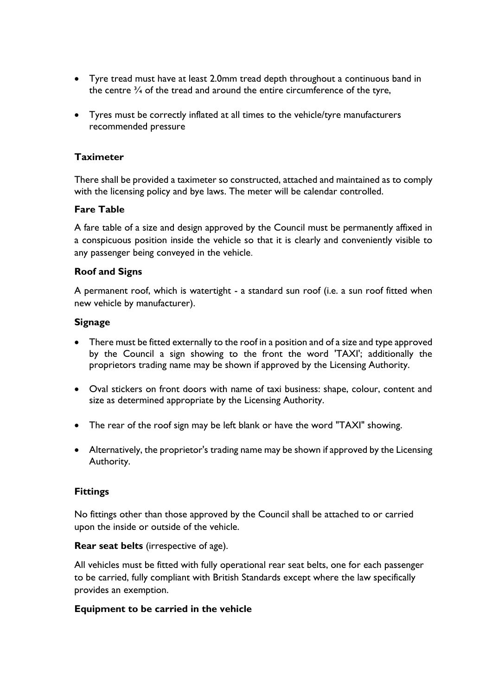- Tyre tread must have at least 2.0mm tread depth throughout a continuous band in the centre  $\frac{3}{4}$  of the tread and around the entire circumference of the tyre,
- Tyres must be correctly inflated at all times to the vehicle/tyre manufacturers recommended pressure

#### **Taximeter**

There shall be provided a taximeter so constructed, attached and maintained as to comply with the licensing policy and bye laws. The meter will be calendar controlled.

#### **Fare Table**

A fare table of a size and design approved by the Council must be permanently affixed in a conspicuous position inside the vehicle so that it is clearly and conveniently visible to any passenger being conveyed in the vehicle.

#### **Roof and Signs**

A permanent roof, which is watertight - a standard sun roof (i.e. a sun roof fitted when new vehicle by manufacturer).

#### **Signage**

- There must be fitted externally to the roof in a position and of a size and type approved by the Council a sign showing to the front the word 'TAXI'; additionally the proprietors trading name may be shown if approved by the Licensing Authority.
- Oval stickers on front doors with name of taxi business: shape, colour, content and size as determined appropriate by the Licensing Authority.
- The rear of the roof sign may be left blank or have the word "TAXI" showing.
- Alternatively, the proprietor's trading name may be shown if approved by the Licensing Authority.

## **Fittings**

No fittings other than those approved by the Council shall be attached to or carried upon the inside or outside of the vehicle.

#### **Rear seat belts** (irrespective of age).

All vehicles must be fitted with fully operational rear seat belts, one for each passenger to be carried, fully compliant with British Standards except where the law specifically provides an exemption.

#### **Equipment to be carried in the vehicle**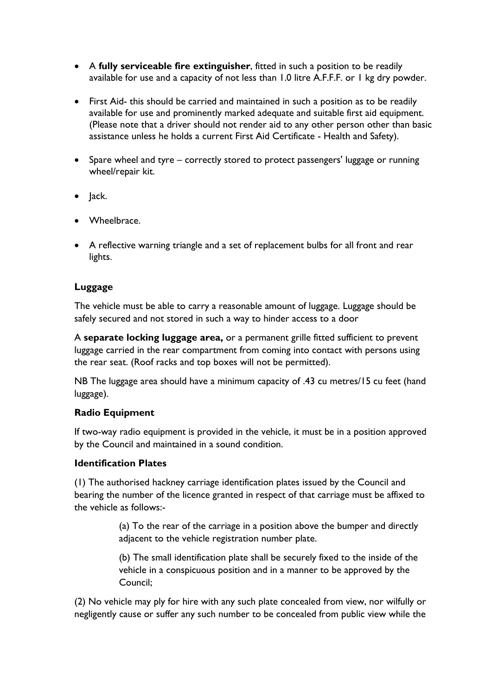- A **fully serviceable fire extinguisher**, fitted in such a position to be readily available for use and a capacity of not less than 1.0 litre A.F.F.F. or 1 kg dry powder.
- First Aid- this should be carried and maintained in such a position as to be readily available for use and prominently marked adequate and suitable first aid equipment. (Please note that a driver should not render aid to any other person other than basic assistance unless he holds a current First Aid Certificate - Health and Safety).
- Spare wheel and tyre correctly stored to protect passengers' luggage or running wheel/repair kit.
- Jack.
- Wheelbrace.
- A reflective warning triangle and a set of replacement bulbs for all front and rear lights.

# **Luggage**

The vehicle must be able to carry a reasonable amount of luggage. Luggage should be safely secured and not stored in such a way to hinder access to a door

A **separate locking luggage area,** or a permanent grille fitted sufficient to prevent luggage carried in the rear compartment from coming into contact with persons using the rear seat. (Roof racks and top boxes will not be permitted).

NB The luggage area should have a minimum capacity of .43 cu metres/15 cu feet (hand luggage).

## **Radio Equipment**

If two-way radio equipment is provided in the vehicle, it must be in a position approved by the Council and maintained in a sound condition.

## **Identification Plates**

(1) The authorised hackney carriage identification plates issued by the Council and bearing the number of the licence granted in respect of that carriage must be affixed to the vehicle as follows:-

> (a) To the rear of the carriage in a position above the bumper and directly adjacent to the vehicle registration number plate.

> (b) The small identification plate shall be securely fixed to the inside of the vehicle in a conspicuous position and in a manner to be approved by the Council;

(2) No vehicle may ply for hire with any such plate concealed from view, nor wilfully or negligently cause or suffer any such number to be concealed from public view while the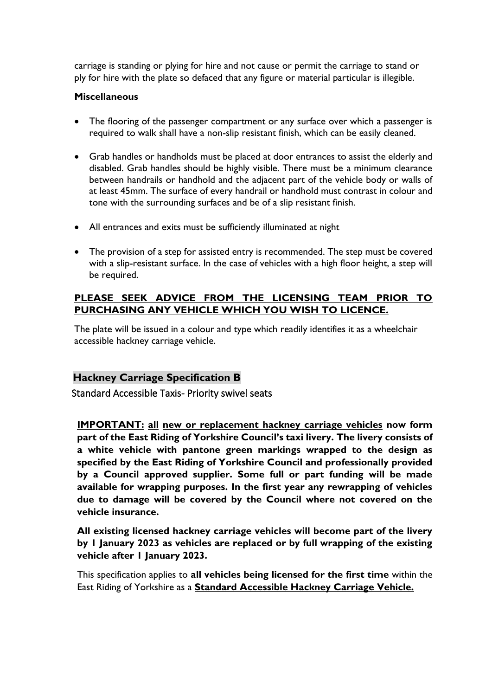carriage is standing or plying for hire and not cause or permit the carriage to stand or ply for hire with the plate so defaced that any figure or material particular is illegible.

## **Miscellaneous**

- The flooring of the passenger compartment or any surface over which a passenger is required to walk shall have a non-slip resistant finish, which can be easily cleaned.
- Grab handles or handholds must be placed at door entrances to assist the elderly and disabled. Grab handles should be highly visible. There must be a minimum clearance between handrails or handhold and the adjacent part of the vehicle body or walls of at least 45mm. The surface of every handrail or handhold must contrast in colour and tone with the surrounding surfaces and be of a slip resistant finish.
- All entrances and exits must be sufficiently illuminated at night
- The provision of a step for assisted entry is recommended. The step must be covered with a slip-resistant surface. In the case of vehicles with a high floor height, a step will be required.

# **PLEASE SEEK ADVICE FROM THE LICENSING TEAM PRIOR TO PURCHASING ANY VEHICLE WHICH YOU WISH TO LICENCE.**

The plate will be issued in a colour and type which readily identifies it as a wheelchair accessible hackney carriage vehicle.

## **Hackney Carriage Specification B**

Standard Accessible Taxis- Priority swivel seats

**IMPORTANT: all new or replacement hackney carriage vehicles now form part of the East Riding of Yorkshire Council's taxi livery. The livery consists of a white vehicle with pantone green markings wrapped to the design as specified by the East Riding of Yorkshire Council and professionally provided by a Council approved supplier. Some full or part funding will be made available for wrapping purposes. In the first year any rewrapping of vehicles due to damage will be covered by the Council where not covered on the vehicle insurance.**

**All existing licensed hackney carriage vehicles will become part of the livery by 1 January 2023 as vehicles are replaced or by full wrapping of the existing vehicle after 1 January 2023.**

This specification applies to **all vehicles being licensed for the first time** within the East Riding of Yorkshire as a **Standard Accessible Hackney Carriage Vehicle.**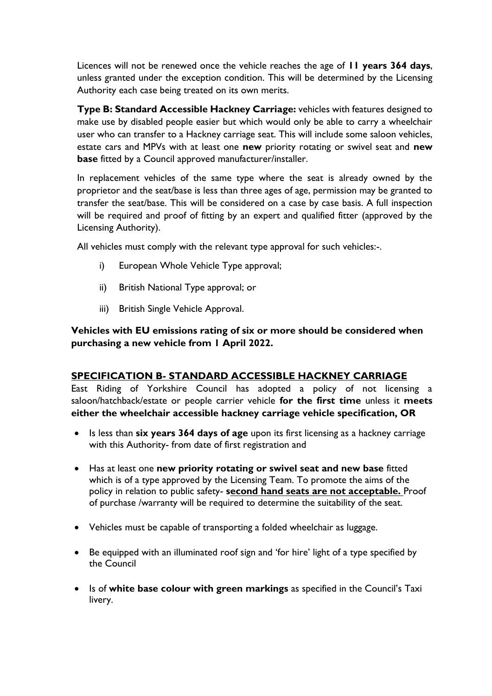Licences will not be renewed once the vehicle reaches the age of **11 years 364 days**, unless granted under the exception condition. This will be determined by the Licensing Authority each case being treated on its own merits.

**Type B: Standard Accessible Hackney Carriage:** vehicles with features designed to make use by disabled people easier but which would only be able to carry a wheelchair user who can transfer to a Hackney carriage seat. This will include some saloon vehicles, estate cars and MPVs with at least one **new** priority rotating or swivel seat and **new base** fitted by a Council approved manufacturer/installer.

In replacement vehicles of the same type where the seat is already owned by the proprietor and the seat/base is less than three ages of age, permission may be granted to transfer the seat/base. This will be considered on a case by case basis. A full inspection will be required and proof of fitting by an expert and qualified fitter (approved by the Licensing Authority).

All vehicles must comply with the relevant type approval for such vehicles:-.

- i) European Whole Vehicle Type approval;
- ii) British National Type approval; or
- iii) British Single Vehicle Approval.

# **Vehicles with EU emissions rating of six or more should be considered when purchasing a new vehicle from 1 April 2022.**

## **SPECIFICATION B- STANDARD ACCESSIBLE HACKNEY CARRIAGE**

East Riding of Yorkshire Council has adopted a policy of not licensing a saloon/hatchback/estate or people carrier vehicle **for the first time** unless it **meets either the wheelchair accessible hackney carriage vehicle specification, OR**

- Is less than **six years 364 days of age** upon its first licensing as a hackney carriage with this Authority- from date of first registration and
- Has at least one **new priority rotating or swivel seat and new base** fitted which is of a type approved by the Licensing Team. To promote the aims of the policy in relation to public safety- **second hand seats are not acceptable.** Proof of purchase /warranty will be required to determine the suitability of the seat.
- Vehicles must be capable of transporting a folded wheelchair as luggage.
- Be equipped with an illuminated roof sign and 'for hire' light of a type specified by the Council
- Is of **white base colour with green markings** as specified in the Council's Taxi livery.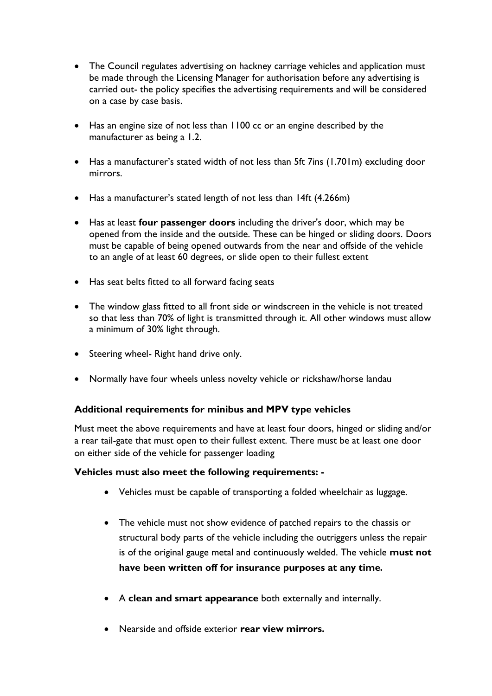- The Council regulates advertising on hackney carriage vehicles and application must be made through the Licensing Manager for authorisation before any advertising is carried out- the policy specifies the advertising requirements and will be considered on a case by case basis.
- Has an engine size of not less than 1100 cc or an engine described by the manufacturer as being a 1.2.
- Has a manufacturer's stated width of not less than 5ft 7ins (1.701m) excluding door mirrors.
- Has a manufacturer's stated length of not less than 14ft (4.266m)
- Has at least **four passenger doors** including the driver's door, which may be opened from the inside and the outside. These can be hinged or sliding doors. Doors must be capable of being opened outwards from the near and offside of the vehicle to an angle of at least 60 degrees, or slide open to their fullest extent
- Has seat belts fitted to all forward facing seats
- The window glass fitted to all front side or windscreen in the vehicle is not treated so that less than 70% of light is transmitted through it. All other windows must allow a minimum of 30% light through.
- Steering wheel- Right hand drive only.
- Normally have four wheels unless novelty vehicle or rickshaw/horse landau

## **Additional requirements for minibus and MPV type vehicles**

Must meet the above requirements and have at least four doors, hinged or sliding and/or a rear tail-gate that must open to their fullest extent. There must be at least one door on either side of the vehicle for passenger loading

## **Vehicles must also meet the following requirements: -**

- Vehicles must be capable of transporting a folded wheelchair as luggage.
- The vehicle must not show evidence of patched repairs to the chassis or structural body parts of the vehicle including the outriggers unless the repair is of the original gauge metal and continuously welded. The vehicle **must not have been written off for insurance purposes at any time***.*
- A **clean and smart appearance** both externally and internally.
- Nearside and offside exterior **rear view mirrors.**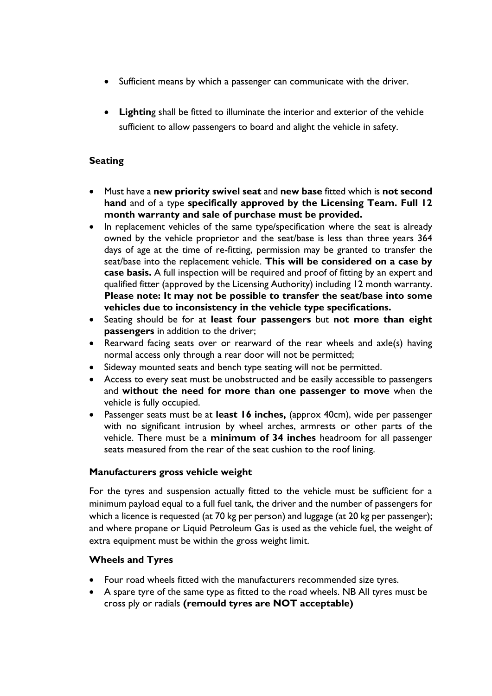- Sufficient means by which a passenger can communicate with the driver.
- **Lightin**g shall be fitted to illuminate the interior and exterior of the vehicle sufficient to allow passengers to board and alight the vehicle in safety.

# **Seating**

- Must have a **new priority swivel seat** and **new base** fitted which is **not second hand** and of a type **specifically approved by the Licensing Team. Full 12 month warranty and sale of purchase must be provided.**
- In replacement vehicles of the same type/specification where the seat is already owned by the vehicle proprietor and the seat/base is less than three years 364 days of age at the time of re-fitting, permission may be granted to transfer the seat/base into the replacement vehicle. **This will be considered on a case by case basis.** A full inspection will be required and proof of fitting by an expert and qualified fitter (approved by the Licensing Authority) including 12 month warranty. **Please note: It may not be possible to transfer the seat/base into some vehicles due to inconsistency in the vehicle type specifications.**
- Seating should be for at **least four passengers** but **not more than eight passengers** in addition to the driver;
- Rearward facing seats over or rearward of the rear wheels and axle(s) having normal access only through a rear door will not be permitted;
- Sideway mounted seats and bench type seating will not be permitted.
- Access to every seat must be unobstructed and be easily accessible to passengers and **without the need for more than one passenger to move** when the vehicle is fully occupied.
- Passenger seats must be at **least 16 inches,** (approx 40cm), wide per passenger with no significant intrusion by wheel arches, armrests or other parts of the vehicle. There must be a **minimum of 34 inches** headroom for all passenger seats measured from the rear of the seat cushion to the roof lining.

#### **Manufacturers gross vehicle weight**

For the tyres and suspension actually fitted to the vehicle must be sufficient for a minimum payload equal to a full fuel tank, the driver and the number of passengers for which a licence is requested (at 70 kg per person) and luggage (at 20 kg per passenger); and where propane or Liquid Petroleum Gas is used as the vehicle fuel, the weight of extra equipment must be within the gross weight limit.

## **Wheels and Tyres**

- Four road wheels fitted with the manufacturers recommended size tyres.
- A spare tyre of the same type as fitted to the road wheels. NB All tyres must be cross ply or radials **(remould tyres are NOT acceptable)**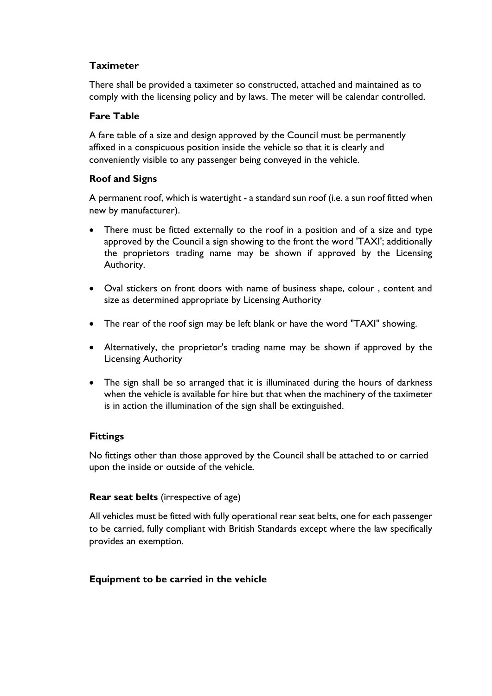# **Taximeter**

There shall be provided a taximeter so constructed, attached and maintained as to comply with the licensing policy and by laws. The meter will be calendar controlled.

## **Fare Table**

A fare table of a size and design approved by the Council must be permanently affixed in a conspicuous position inside the vehicle so that it is clearly and conveniently visible to any passenger being conveyed in the vehicle.

# **Roof and Signs**

A permanent roof, which is watertight - a standard sun roof (i.e. a sun roof fitted when new by manufacturer).

- There must be fitted externally to the roof in a position and of a size and type approved by the Council a sign showing to the front the word 'TAXI'; additionally the proprietors trading name may be shown if approved by the Licensing Authority.
- Oval stickers on front doors with name of business shape, colour , content and size as determined appropriate by Licensing Authority
- The rear of the roof sign may be left blank or have the word "TAXI" showing.
- Alternatively, the proprietor's trading name may be shown if approved by the Licensing Authority
- The sign shall be so arranged that it is illuminated during the hours of darkness when the vehicle is available for hire but that when the machinery of the taximeter is in action the illumination of the sign shall be extinguished.

## **Fittings**

No fittings other than those approved by the Council shall be attached to or carried upon the inside or outside of the vehicle.

## **Rear seat belts** (irrespective of age)

All vehicles must be fitted with fully operational rear seat belts, one for each passenger to be carried, fully compliant with British Standards except where the law specifically provides an exemption.

## **Equipment to be carried in the vehicle**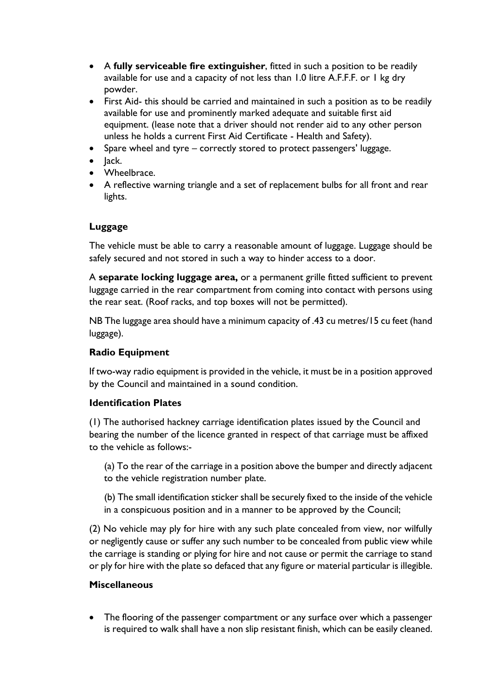- A **fully serviceable fire extinguisher**, fitted in such a position to be readily available for use and a capacity of not less than 1.0 litre A.F.F.F. or 1 kg dry powder.
- First Aid- this should be carried and maintained in such a position as to be readily available for use and prominently marked adequate and suitable first aid equipment. (lease note that a driver should not render aid to any other person unless he holds a current First Aid Certificate - Health and Safety).
- Spare wheel and tyre correctly stored to protect passengers' luggage.
- Jack.
- Wheelbrace.
- A reflective warning triangle and a set of replacement bulbs for all front and rear lights.

## **Luggage**

The vehicle must be able to carry a reasonable amount of luggage. Luggage should be safely secured and not stored in such a way to hinder access to a door.

A **separate locking luggage area,** or a permanent grille fitted sufficient to prevent luggage carried in the rear compartment from coming into contact with persons using the rear seat. (Roof racks, and top boxes will not be permitted).

NB The luggage area should have a minimum capacity of .43 cu metres/15 cu feet (hand luggage).

# **Radio Equipment**

If two-way radio equipment is provided in the vehicle, it must be in a position approved by the Council and maintained in a sound condition.

## **Identification Plates**

(1) The authorised hackney carriage identification plates issued by the Council and bearing the number of the licence granted in respect of that carriage must be affixed to the vehicle as follows:-

- (a) To the rear of the carriage in a position above the bumper and directly adjacent to the vehicle registration number plate.
- (b) The small identification sticker shall be securely fixed to the inside of the vehicle in a conspicuous position and in a manner to be approved by the Council;

(2) No vehicle may ply for hire with any such plate concealed from view, nor wilfully or negligently cause or suffer any such number to be concealed from public view while the carriage is standing or plying for hire and not cause or permit the carriage to stand or ply for hire with the plate so defaced that any figure or material particular is illegible.

## **Miscellaneous**

• The flooring of the passenger compartment or any surface over which a passenger is required to walk shall have a non slip resistant finish, which can be easily cleaned.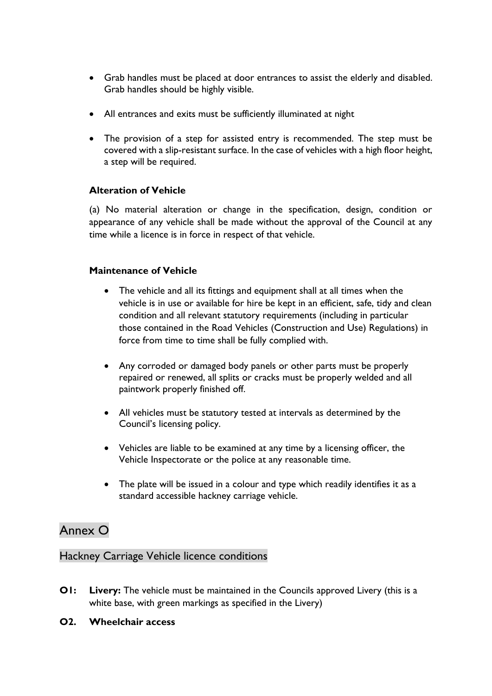- Grab handles must be placed at door entrances to assist the elderly and disabled. Grab handles should be highly visible.
- All entrances and exits must be sufficiently illuminated at night
- The provision of a step for assisted entry is recommended. The step must be covered with a slip-resistant surface. In the case of vehicles with a high floor height, a step will be required.

# **Alteration of Vehicle**

(a) No material alteration or change in the specification, design, condition or appearance of any vehicle shall be made without the approval of the Council at any time while a licence is in force in respect of that vehicle.

## **Maintenance of Vehicle**

- The vehicle and all its fittings and equipment shall at all times when the vehicle is in use or available for hire be kept in an efficient, safe, tidy and clean condition and all relevant statutory requirements (including in particular those contained in the Road Vehicles (Construction and Use) Regulations) in force from time to time shall be fully complied with.
- Any corroded or damaged body panels or other parts must be properly repaired or renewed, all splits or cracks must be properly welded and all paintwork properly finished off.
- All vehicles must be statutory tested at intervals as determined by the Council's licensing policy.
- Vehicles are liable to be examined at any time by a licensing officer, the Vehicle Inspectorate or the police at any reasonable time.
- The plate will be issued in a colour and type which readily identifies it as a standard accessible hackney carriage vehicle.

# Annex O

# Hackney Carriage Vehicle licence conditions

- **O1:** Livery: The vehicle must be maintained in the Councils approved Livery (this is a white base, with green markings as specified in the Livery)
- **O2. Wheelchair access**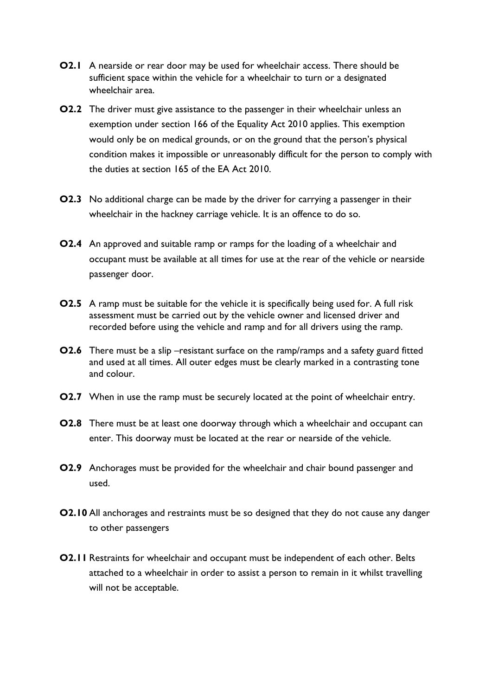- **O2.1** A nearside or rear door may be used for wheelchair access. There should be sufficient space within the vehicle for a wheelchair to turn or a designated wheelchair area.
- **O2.2** The driver must give assistance to the passenger in their wheelchair unless an exemption under section 166 of the Equality Act 2010 applies. This exemption would only be on medical grounds, or on the ground that the person's physical condition makes it impossible or unreasonably difficult for the person to comply with the duties at section 165 of the EA Act 2010.
- **O2.3** No additional charge can be made by the driver for carrying a passenger in their wheelchair in the hackney carriage vehicle. It is an offence to do so.
- **O2.4** An approved and suitable ramp or ramps for the loading of a wheelchair and occupant must be available at all times for use at the rear of the vehicle or nearside passenger door.
- **O2.5** A ramp must be suitable for the vehicle it is specifically being used for. A full risk assessment must be carried out by the vehicle owner and licensed driver and recorded before using the vehicle and ramp and for all drivers using the ramp.
- **O2.6** There must be a slip –resistant surface on the ramp/ramps and a safety guard fitted and used at all times. All outer edges must be clearly marked in a contrasting tone and colour.
- **O2.7** When in use the ramp must be securely located at the point of wheelchair entry.
- **O2.8** There must be at least one doorway through which a wheelchair and occupant can enter. This doorway must be located at the rear or nearside of the vehicle.
- **O2.9** Anchorages must be provided for the wheelchair and chair bound passenger and used.
- **O2.10** All anchorages and restraints must be so designed that they do not cause any danger to other passengers
- **O2.11** Restraints for wheelchair and occupant must be independent of each other. Belts attached to a wheelchair in order to assist a person to remain in it whilst travelling will not be acceptable.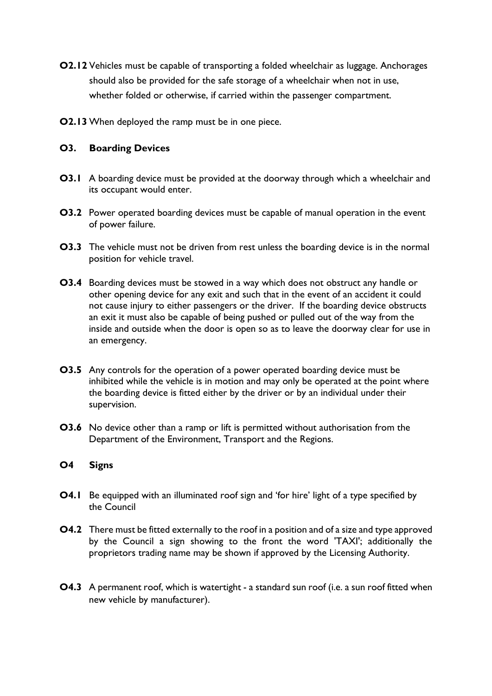- **O2.12** Vehicles must be capable of transporting a folded wheelchair as luggage. Anchorages should also be provided for the safe storage of a wheelchair when not in use, whether folded or otherwise, if carried within the passenger compartment.
- **O2.13** When deployed the ramp must be in one piece.

# **O3. Boarding Devices**

- **O3.1** A boarding device must be provided at the doorway through which a wheelchair and its occupant would enter.
- **O3.2** Power operated boarding devices must be capable of manual operation in the event of power failure.
- **O3.3** The vehicle must not be driven from rest unless the boarding device is in the normal position for vehicle travel.
- **O3.4** Boarding devices must be stowed in a way which does not obstruct any handle or other opening device for any exit and such that in the event of an accident it could not cause injury to either passengers or the driver. If the boarding device obstructs an exit it must also be capable of being pushed or pulled out of the way from the inside and outside when the door is open so as to leave the doorway clear for use in an emergency.
- **O3.5** Any controls for the operation of a power operated boarding device must be inhibited while the vehicle is in motion and may only be operated at the point where the boarding device is fitted either by the driver or by an individual under their supervision.
- **O3.6** No device other than a ramp or lift is permitted without authorisation from the Department of the Environment, Transport and the Regions.

## **O4 Signs**

- **O4.1** Be equipped with an illuminated roof sign and 'for hire' light of a type specified by the Council
- **O4.2** There must be fitted externally to the roof in a position and of a size and type approved by the Council a sign showing to the front the word 'TAXI'; additionally the proprietors trading name may be shown if approved by the Licensing Authority.
- **O4.3** A permanent roof, which is watertight a standard sun roof (i.e. a sun roof fitted when new vehicle by manufacturer).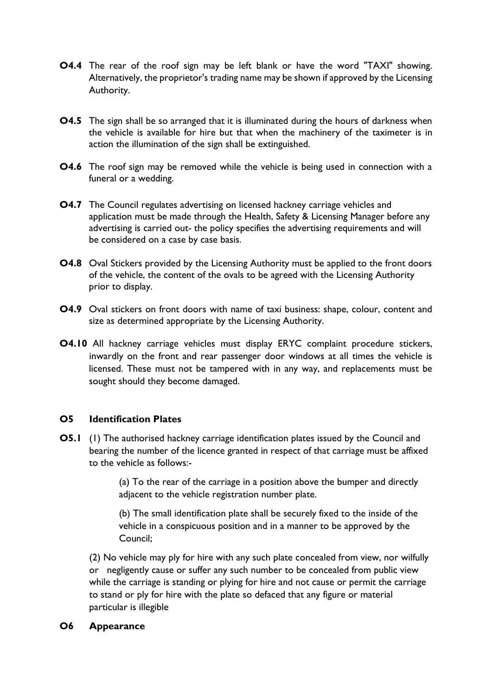- **O4.4** The rear of the roof sign may be left blank or have the word "TAXI" showing. Alternatively, the proprietor's trading name may be shown if approved by the Licensing Authority.
- **O4.5** The sign shall be so arranged that it is illuminated during the hours of darkness when the vehicle is available for hire but that when the machinery of the taximeter is in action the illumination of the sign shall be extinguished.
- **O4.6** The roof sign may be removed while the vehicle is being used in connection with a funeral or a wedding.
- **O4.7** The Council regulates advertising on licensed hackney carriage vehicles and application must be made through the Health, Safety & Licensing Manager before any advertising is carried out- the policy specifies the advertising requirements and will be considered on a case by case basis.
- **O4.8** Oval Stickers provided by the Licensing Authority must be applied to the front doors of the vehicle, the content of the ovals to be agreed with the Licensing Authority prior to display.
- **O4.9** Oval stickers on front doors with name of taxi business: shape, colour, content and size as determined appropriate by the Licensing Authority.
- **O4.10** All hackney carriage vehicles must display ERYC complaint procedure stickers, inwardly on the front and rear passenger door windows at all times the vehicle is licensed. These must not be tampered with in any way, and replacements must be sought should they become damaged.

## **O5 Identification Plates**

**O5.1** (1) The authorised hackney carriage identification plates issued by the Council and bearing the number of the licence granted in respect of that carriage must be affixed to the vehicle as follows:-

> (a) To the rear of the carriage in a position above the bumper and directly adjacent to the vehicle registration number plate.

> (b) The small identification plate shall be securely fixed to the inside of the vehicle in a conspicuous position and in a manner to be approved by the Council;

(2) No vehicle may ply for hire with any such plate concealed from view, nor wilfully or negligently cause or suffer any such number to be concealed from public view while the carriage is standing or plying for hire and not cause or permit the carriage to stand or ply for hire with the plate so defaced that any figure or material particular is illegible

#### **O6 Appearance**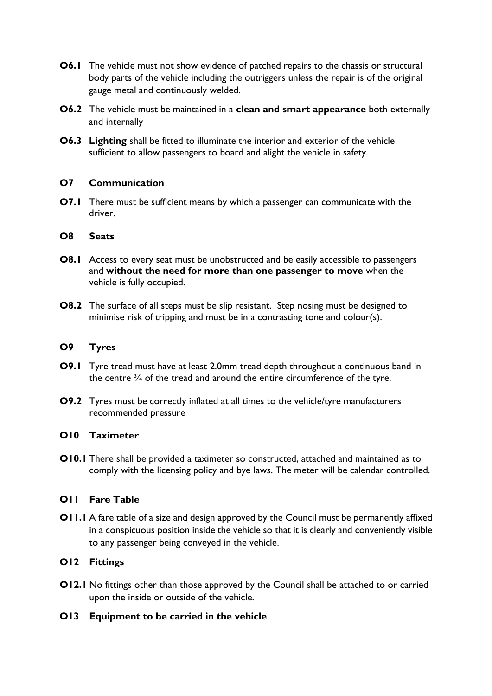- **O6.1** The vehicle must not show evidence of patched repairs to the chassis or structural body parts of the vehicle including the outriggers unless the repair is of the original gauge metal and continuously welded.
- **O6.2** The vehicle must be maintained in a **clean and smart appearance** both externally and internally
- **O6.3 Lighting** shall be fitted to illuminate the interior and exterior of the vehicle sufficient to allow passengers to board and alight the vehicle in safety.

## **O7 Communication**

**O7.1** There must be sufficient means by which a passenger can communicate with the driver.

#### **O8 Seats**

- **O8.1** Access to every seat must be unobstructed and be easily accessible to passengers and **without the need for more than one passenger to move** when the vehicle is fully occupied.
- **O8.2** The surface of all steps must be slip resistant. Step nosing must be designed to minimise risk of tripping and must be in a contrasting tone and colour(s).

#### **O9 Tyres**

- **O9.1** Tyre tread must have at least 2.0mm tread depth throughout a continuous band in the centre  $\frac{3}{4}$  of the tread and around the entire circumference of the tyre,
- **O9.2** Tyres must be correctly inflated at all times to the vehicle/tyre manufacturers recommended pressure

#### **O10 Taximeter**

**O10.1** There shall be provided a taximeter so constructed, attached and maintained as to comply with the licensing policy and bye laws. The meter will be calendar controlled.

## **O11 Fare Table**

**O11.1** A fare table of a size and design approved by the Council must be permanently affixed in a conspicuous position inside the vehicle so that it is clearly and conveniently visible to any passenger being conveyed in the vehicle.

## **O12 Fittings**

**O12.1** No fittings other than those approved by the Council shall be attached to or carried upon the inside or outside of the vehicle.

## **O13 Equipment to be carried in the vehicle**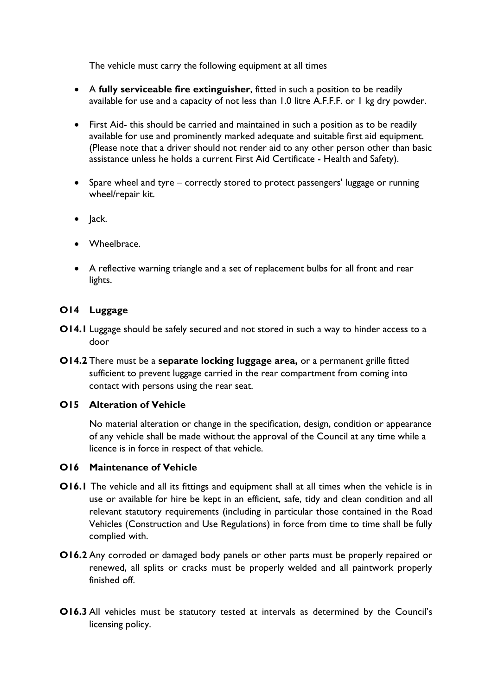The vehicle must carry the following equipment at all times

- A **fully serviceable fire extinguisher**, fitted in such a position to be readily available for use and a capacity of not less than 1.0 litre A.F.F.F. or 1 kg dry powder.
- First Aid- this should be carried and maintained in such a position as to be readily available for use and prominently marked adequate and suitable first aid equipment. (Please note that a driver should not render aid to any other person other than basic assistance unless he holds a current First Aid Certificate - Health and Safety).
- Spare wheel and tyre correctly stored to protect passengers' luggage or running wheel/repair kit.
- Jack.
- Wheelbrace.
- A reflective warning triangle and a set of replacement bulbs for all front and rear lights.

# **O14 Luggage**

- **O14.1** Luggage should be safely secured and not stored in such a way to hinder access to a door
- **O14.2** There must be a **separate locking luggage area,** or a permanent grille fitted sufficient to prevent luggage carried in the rear compartment from coming into contact with persons using the rear seat.

# **O15 Alteration of Vehicle**

No material alteration or change in the specification, design, condition or appearance of any vehicle shall be made without the approval of the Council at any time while a licence is in force in respect of that vehicle.

## **O16 Maintenance of Vehicle**

- **O16.1** The vehicle and all its fittings and equipment shall at all times when the vehicle is in use or available for hire be kept in an efficient, safe, tidy and clean condition and all relevant statutory requirements (including in particular those contained in the Road Vehicles (Construction and Use Regulations) in force from time to time shall be fully complied with.
- **O16.2** Any corroded or damaged body panels or other parts must be properly repaired or renewed, all splits or cracks must be properly welded and all paintwork properly finished off.
- **O16.3** All vehicles must be statutory tested at intervals as determined by the Council's licensing policy.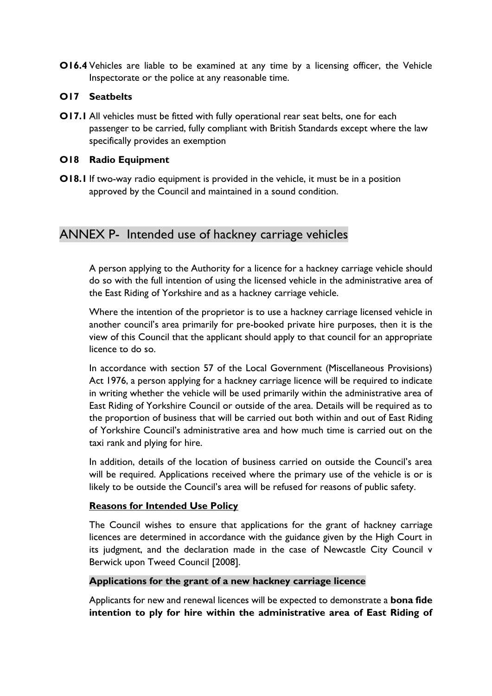**O16.4** Vehicles are liable to be examined at any time by a licensing officer, the Vehicle Inspectorate or the police at any reasonable time.

#### **O17 Seatbelts**

**O17.1** All vehicles must be fitted with fully operational rear seat belts, one for each passenger to be carried, fully compliant with British Standards except where the law specifically provides an exemption

#### **O18 Radio Equipment**

**O18.1** If two-way radio equipment is provided in the vehicle, it must be in a position approved by the Council and maintained in a sound condition.

# ANNEX P- Intended use of hackney carriage vehicles

A person applying to the Authority for a licence for a hackney carriage vehicle should do so with the full intention of using the licensed vehicle in the administrative area of the East Riding of Yorkshire and as a hackney carriage vehicle.

Where the intention of the proprietor is to use a hackney carriage licensed vehicle in another council's area primarily for pre-booked private hire purposes, then it is the view of this Council that the applicant should apply to that council for an appropriate licence to do so.

In accordance with section 57 of the Local Government (Miscellaneous Provisions) Act 1976, a person applying for a hackney carriage licence will be required to indicate in writing whether the vehicle will be used primarily within the administrative area of East Riding of Yorkshire Council or outside of the area. Details will be required as to the proportion of business that will be carried out both within and out of East Riding of Yorkshire Council's administrative area and how much time is carried out on the taxi rank and plying for hire.

In addition, details of the location of business carried on outside the Council's area will be required. Applications received where the primary use of the vehicle is or is likely to be outside the Council's area will be refused for reasons of public safety.

## **Reasons for Intended Use Policy**

The Council wishes to ensure that applications for the grant of hackney carriage licences are determined in accordance with the guidance given by the High Court in its judgment, and the declaration made in the case of Newcastle City Council v Berwick upon Tweed Council [2008].

#### **Applications for the grant of a new hackney carriage licence**

Applicants for new and renewal licences will be expected to demonstrate a **bona fide intention to ply for hire within the administrative area of East Riding of**